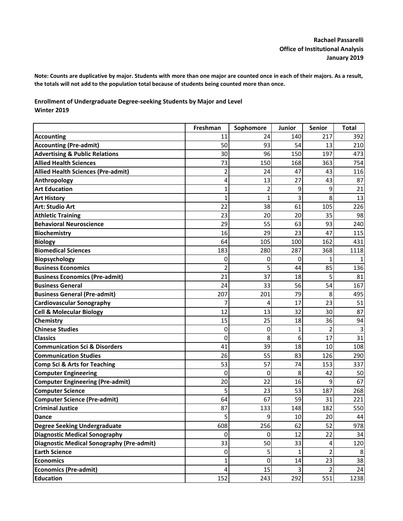**Note: Counts are duplicative by major. Students with more than one major are counted once in each of their majors. As a result, the totals will not add to the population total because of students being counted more than once.**

**Enrollment of Undergraduate Degree-seeking Students by Major and Level Winter 2019**

|                                                  | Freshman | Sophomore | Junior | <b>Senior</b>  | <b>Total</b> |
|--------------------------------------------------|----------|-----------|--------|----------------|--------------|
| <b>Accounting</b>                                | 11       | 24        | 140    | 217            | 392          |
| <b>Accounting (Pre-admit)</b>                    | 50       | 93        | 54     | 13             | 210          |
| <b>Advertising &amp; Public Relations</b>        | 30       | 96        | 150    | 197            | 473          |
| <b>Allied Health Sciences</b>                    | 73       | 150       | 168    | 363            | 754          |
| <b>Allied Health Sciences (Pre-admit)</b>        | 2        | 24        | 47     | 43             | 116          |
| Anthropology                                     | 4        | 13        | 27     | 43             | 87           |
| <b>Art Education</b>                             | 1        | 2         | 9      | 9              | 21           |
| <b>Art History</b>                               | 1        | 1         | 3      | 8              | 13           |
| <b>Art: Studio Art</b>                           | 22       | 38        | 61     | 105            | 226          |
| <b>Athletic Training</b>                         | 23       | 20        | 20     | 35             | 98           |
| <b>Behavioral Neuroscience</b>                   | 29       | 55        | 63     | 93             | 240          |
| <b>Biochemistry</b>                              | 16       | 29        | 23     | 47             | 115          |
| <b>Biology</b>                                   | 64       | 105       | 100    | 162            | 431          |
| <b>Biomedical Sciences</b>                       | 183      | 280       | 287    | 368            | 1118         |
| <b>Biopsychology</b>                             | 0        | 0         | 0      |                |              |
| <b>Business Economics</b>                        | 2        | 5         | 44     | 85             | 136          |
| <b>Business Economics (Pre-admit)</b>            | 21       | 37        | 18     | 5              | 81           |
| <b>Business General</b>                          | 24       | 33        | 56     | 54             | 167          |
| <b>Business General (Pre-admit)</b>              | 207      | 201       | 79     | 8              | 495          |
| <b>Cardiovascular Sonography</b>                 | 7        | 4         | 17     | 23             | 51           |
| <b>Cell &amp; Molecular Biology</b>              | 12       | 13        | 32     | 30             | 87           |
| <b>Chemistry</b>                                 | 15       | 25        | 18     | 36             | 94           |
| <b>Chinese Studies</b>                           | 0        | 0         | 1      | $\overline{2}$ | 3            |
| <b>Classics</b>                                  | 0        | 8         | 6      | 17             | 31           |
| <b>Communication Sci &amp; Disorders</b>         | 41       | 39        | 18     | 10             | 108          |
| <b>Communication Studies</b>                     | 26       | 55        | 83     | 126            | 290          |
| <b>Comp Sci &amp; Arts for Teaching</b>          | 53       | 57        | 74     | 153            | 337          |
| <b>Computer Engineering</b>                      | 0        | 0         | 8      | 42             | 50           |
| <b>Computer Engineering (Pre-admit)</b>          | 20       | 22        | 16     | 9              | 67           |
| <b>Computer Science</b>                          | 5        | 23        | 53     | 187            | 268          |
| <b>Computer Science (Pre-admit)</b>              | 64       | 67        | 59     | 31             | 221          |
| <b>Criminal Justice</b>                          | 87       | 133       | 148    | 182            | 550          |
| <b>Dance</b>                                     | 5        | 9         | 10     | 20             | 44           |
| <b>Degree Seeking Undergraduate</b>              | 608      | 256       | 62     | 52             | 978          |
| <b>Diagnostic Medical Sonography</b>             | 0        | 0         | 12     | 22             | 34           |
| <b>Diagnostic Medical Sonography (Pre-admit)</b> | 33       | 50        | 33     | 4              | 120          |
| <b>Earth Science</b>                             | 0        | 5         |        |                | 8            |
| <b>Economics</b>                                 | 1        | 0         | 14     | 23             | 38           |
| <b>Economics (Pre-admit)</b>                     | 4        | 15        | 3      |                | 24           |
| <b>Education</b>                                 | 152      | 243       | 292    | 551            | 1238         |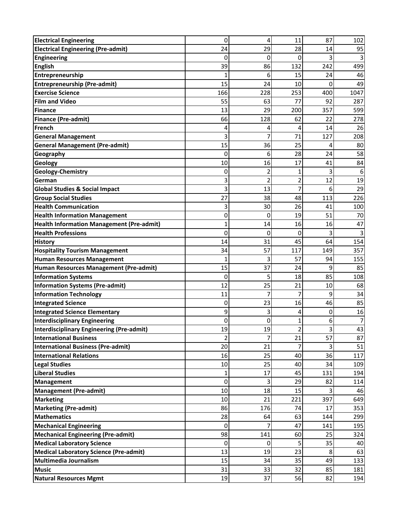| <b>Electrical Engineering</b>                    | 0   | 4                       | 11             | 87  | 102  |
|--------------------------------------------------|-----|-------------------------|----------------|-----|------|
| <b>Electrical Engineering (Pre-admit)</b>        | 24  | 29                      | 28             | 14  | 95   |
| <b>Engineering</b>                               | 0   | 0                       | 0              | 3   |      |
| <b>English</b>                                   | 39  | 86                      | 132            | 242 | 499  |
| Entrepreneurship                                 | 1   | 6                       | 15             | 24  | 46   |
| <b>Entrepreneurship (Pre-admit)</b>              | 15  | 24                      | 10             | 0   | 49   |
| <b>Exercise Science</b>                          | 166 | 228                     | 253            | 400 | 1047 |
| <b>Film and Video</b>                            | 55  | 63                      | 77             | 92  | 287  |
| Finance                                          | 13  | 29                      | 200            | 357 | 599  |
| <b>Finance (Pre-admit)</b>                       | 66  | 128                     | 62             | 22  | 278  |
| <b>French</b>                                    | 4   | 4                       | 4              | 14  | 26   |
| <b>General Management</b>                        | 3   | 7                       | 71             | 127 | 208  |
| <b>General Management (Pre-admit)</b>            | 15  | 36                      | 25             | 4   | 80   |
| Geography                                        | 0   | 6                       | 28             | 24  | 58   |
| Geology                                          | 10  | 16                      | 17             | 41  | 84   |
| Geology-Chemistry                                | 0   | 2                       | 1              | 3   |      |
| German                                           | 3   | $\overline{2}$          | 2              | 12  | 19   |
| <b>Global Studies &amp; Social Impact</b>        | 3   | 13                      | 7              | 6   | 29   |
| <b>Group Social Studies</b>                      | 27  | 38                      | 48             | 113 | 226  |
| <b>Health Communication</b>                      | 3   | 30                      | 26             | 41  | 100  |
| <b>Health Information Management</b>             | 0   | 0                       | 19             | 51  | 70   |
| <b>Health Information Management (Pre-admit)</b> | 1   | 14                      | 16             | 16  | 47   |
| <b>Health Professions</b>                        | 0   | 0                       | 0              | 3   |      |
| <b>History</b>                                   | 14  | 31                      | 45             | 64  | 154  |
| <b>Hospitality Tourism Management</b>            | 34  | 57                      | 117            | 149 | 357  |
| <b>Human Resources Management</b>                | 1   | 3                       | 57             | 94  | 155  |
| Human Resources Management (Pre-admit)           | 15  | 37                      | 24             | 9   | 85   |
| <b>Information Systems</b>                       | 0   | 5                       | 18             | 85  | 108  |
| <b>Information Systems (Pre-admit)</b>           | 12  | 25                      | 21             | 10  | 68   |
| <b>Information Technology</b>                    | 11  | 7                       | 7              | 9   | 34   |
| <b>Integrated Science</b>                        | 0   | 23                      | 16             | 46  | 85   |
| <b>Integrated Science Elementary</b>             | 9   | $\overline{\mathsf{3}}$ | 4              | 0   | 16   |
| Interdisciplinary Engineering                    | 0   | $\overline{0}$          | 1              | 6   |      |
| <b>Interdisciplinary Engineering (Pre-admit)</b> | 19  | 19                      | $\overline{2}$ | 3   | 43   |
| <b>International Business</b>                    | 2   | 7                       | 21             | 57  | 87   |
| International Business (Pre-admit)               | 20  | 21                      |                |     | 51   |
| <b>International Relations</b>                   | 16  | 25                      | 40             | 36  | 117  |
| <b>Legal Studies</b>                             | 10  | 25                      | 40             | 34  | 109  |
| <b>Liberal Studies</b>                           | 1   | 17                      | 45             | 131 | 194  |
| <b>Management</b>                                | 0   | 3                       | 29             | 82  | 114  |
| <b>Management (Pre-admit)</b>                    | 10  | 18                      | 15             |     | 46   |
| <b>Marketing</b>                                 | 10  | 21                      | 221            | 397 | 649  |
| <b>Marketing (Pre-admit)</b>                     | 86  | 176                     | 74             | 17  | 353  |
| <b>Mathematics</b>                               | 28  | 64                      | 63             | 144 | 299  |
| <b>Mechanical Engineering</b>                    | 0   |                         | 47             | 141 | 195  |
| <b>Mechanical Engineering (Pre-admit)</b>        | 98  | 141                     | 60             | 25  | 324  |
| <b>Medical Laboratory Science</b>                | 0   | 0                       |                | 35  | 40   |
| <b>Medical Laboratory Science (Pre-admit)</b>    | 13  | 19                      | 23             | 8   | 63   |
| <b>Multimedia Journalism</b>                     | 15  | 34                      | 35             | 49  | 133  |
| <b>Music</b>                                     | 31  | 33                      | 32             | 85  | 181  |
| Natural Resources Mgmt                           | 19  | 37                      | 56             | 82  | 194  |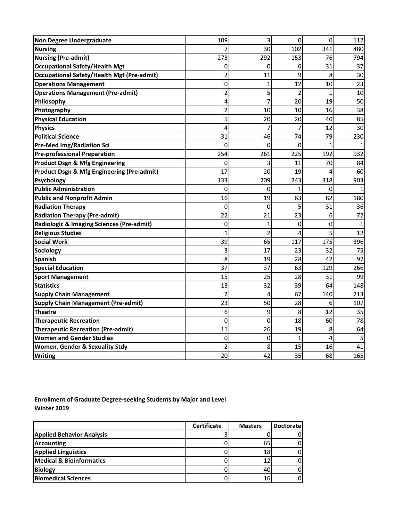| <b>Non Degree Undergraduate</b>                       | 109            | 3              | 0              | 0   | 112            |
|-------------------------------------------------------|----------------|----------------|----------------|-----|----------------|
| <b>Nursing</b>                                        |                | 30             | 102            | 341 | 480            |
| <b>Nursing (Pre-admit)</b>                            | 273            | 292            | 153            | 76  | 794            |
| <b>Occupational Safety/Health Mgt</b>                 | 0              | 0              | 6              | 31  | 37             |
| <b>Occupational Safety/Health Mgt (Pre-admit)</b>     | $\overline{c}$ | 11             | 9              | 8   | 30             |
| <b>Operations Management</b>                          | 0              | 1              | 12             | 10  | 23             |
| <b>Operations Management (Pre-admit)</b>              | $\overline{c}$ | 5              | 2              |     | 10             |
| Philosophy                                            | 4              | 7              | 20             | 19  | 50             |
| Photography                                           | $\overline{c}$ | 10             | 10             | 16  | 38             |
| <b>Physical Education</b>                             | 5              | 20             | 20             | 40  | 85             |
| <b>Physics</b>                                        | 4              |                |                | 12  | 30             |
| <b>Political Science</b>                              | 31             | 46             | 74             | 79  | 230            |
| <b>Pre-Med Img/Radiation Sci</b>                      | 0              | 0              | 0              |     |                |
| <b>Pre-professional Preparation</b>                   | 254            | 261            | 225            | 192 | 932            |
| <b>Product Dsgn &amp; Mfg Engineering</b>             | 0              | 3              | 11             | 70  | 84             |
| <b>Product Dsgn &amp; Mfg Engineering (Pre-admit)</b> | 17             | 20             | 19             | 4   | 60             |
| <b>Psychology</b>                                     | 133            | 209            | 243            | 318 | 903            |
| <b>Public Administration</b>                          | 0              | 0              |                | 0   |                |
| <b>Public and Nonprofit Admin</b>                     | 16             | 19             | 63             | 82  | 180            |
| <b>Radiation Therapy</b>                              | 0              | 0              | 5              | 31  | 36             |
| <b>Radiation Therapy (Pre-admit)</b>                  | 22             | 21             | 23             | 6   | 72             |
| Radiologic & Imaging Sciences (Pre-admit)             | 0              | 1              | 0              | 0   | 1              |
| <b>Religious Studies</b>                              |                | $\overline{2}$ | 4              | 5   | 12             |
| <b>Social Work</b>                                    | 39             | 65             | 117            | 175 | 396            |
| Sociology                                             | 3              | 17             | 23             | 32  | 75             |
| <b>Spanish</b>                                        | 8              | 19             | 28             | 42  | 97             |
| <b>Special Education</b>                              | 37             | 37             | 63             | 129 | 266            |
| <b>Sport Management</b>                               | 15             | 25             | 28             | 31  | 99             |
| <b>Statistics</b>                                     | 13             | 32             | 39             | 64  | 148            |
| <b>Supply Chain Management</b>                        | $\overline{2}$ | 4              | 67             | 140 | 213            |
| <b>Supply Chain Management (Pre-admit)</b>            | 23             | 50             | 28             | 6   | 107            |
| <b>Theatre</b>                                        | 6              | $\overline{9}$ | 8 <sup>1</sup> | 12  | 35             |
| <b>Therapeutic Recreation</b>                         | 0              | 0              | 18             | 60  | 78             |
| <b>Therapeutic Recreation (Pre-admit)</b>             | 11             | 26             | 19             | 8   | 64             |
| <b>Women and Gender Studies</b>                       | 0              | $\mathbf 0$    | $\mathbf{1}$   | 4   | 5 <sub>l</sub> |
| <b>Women, Gender &amp; Sexuality Stdy</b>             | $\overline{c}$ | 8              | 15             | 16  | 41             |
| <b>Writing</b>                                        | 20             | 42             | 35             | 68  | 165            |

**Enrollment of Graduate Degree-seeking Students by Major and Level Winter 2019**

|                                     | <b>Certificate</b> | <b>Masters</b> | <b>Doctoratel</b> |
|-------------------------------------|--------------------|----------------|-------------------|
| <b>Applied Behavior Analysis</b>    |                    |                |                   |
| <b>Accounting</b>                   |                    | 65             |                   |
| <b>Applied Linguistics</b>          |                    | 18             |                   |
| <b>Medical &amp; Bioinformatics</b> |                    |                |                   |
| <b>Biology</b>                      |                    | 40             |                   |
| <b>Biomedical Sciences</b>          |                    | 16             |                   |